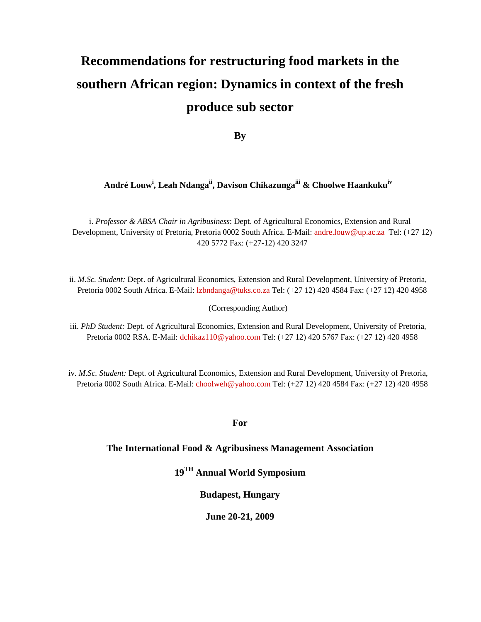# **Recommendations for restructuring food markets in the southern African region: Dynamics in context of the fresh produce sub sector**

**By** 

# **André Louw<sup>i</sup> , Leah Ndangaii, Davison Chikazungaiii & Choolwe Haankukuiv**

i. *Professor & ABSA Chair in Agribusiness*: Dept. of Agricultural Economics, Extension and Rural Development, University of Pretoria, Pretoria 0002 South Africa. E-Mail: andre.louw@up.ac.za Tel: (+27 12) 420 5772 Fax: (+27-12) 420 3247

ii. *M.Sc. Student:* Dept. of Agricultural Economics, Extension and Rural Development, University of Pretoria, Pretoria 0002 South Africa. E-Mail: lzbndanga@tuks.co.za Tel: (+27 12) 420 4584 Fax: (+27 12) 420 4958

#### (Corresponding Author)

iii. *PhD Student:* Dept. of Agricultural Economics, Extension and Rural Development, University of Pretoria, Pretoria 0002 RSA. E-Mail: dchikaz110@yahoo.com Tel: (+27 12) 420 5767 Fax: (+27 12) 420 4958

iv. *M.Sc. Student:* Dept. of Agricultural Economics, Extension and Rural Development, University of Pretoria, Pretoria 0002 South Africa. E-Mail: choolweh@yahoo.com Tel: (+27 12) 420 4584 Fax: (+27 12) 420 4958

**For** 

#### **The International Food & Agribusiness Management Association**

**19TH Annual World Symposium** 

**Budapest, Hungary** 

**June 20-21, 2009**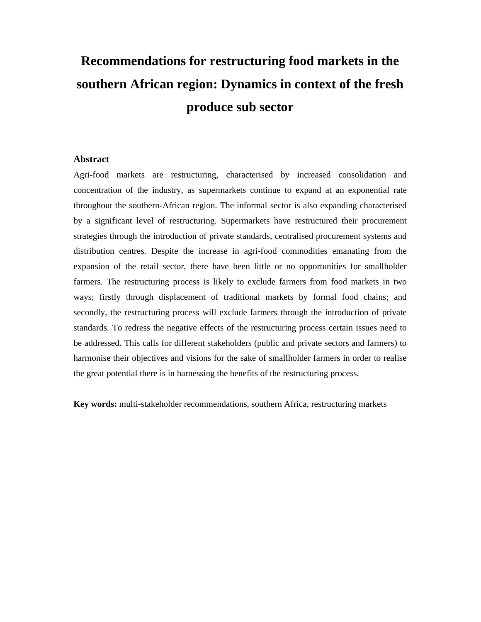# **Recommendations for restructuring food markets in the southern African region: Dynamics in context of the fresh produce sub sector**

### **Abstract**

Agri-food markets are restructuring, characterised by increased consolidation and concentration of the industry, as supermarkets continue to expand at an exponential rate throughout the southern-African region. The informal sector is also expanding characterised by a significant level of restructuring. Supermarkets have restructured their procurement strategies through the introduction of private standards, centralised procurement systems and distribution centres. Despite the increase in agri-food commodities emanating from the expansion of the retail sector, there have been little or no opportunities for smallholder farmers. The restructuring process is likely to exclude farmers from food markets in two ways; firstly through displacement of traditional markets by formal food chains; and secondly, the restructuring process will exclude farmers through the introduction of private standards. To redress the negative effects of the restructuring process certain issues need to be addressed. This calls for different stakeholders (public and private sectors and farmers) to harmonise their objectives and visions for the sake of smallholder farmers in order to realise the great potential there is in harnessing the benefits of the restructuring process.

**Key words:** multi-stakeholder recommendations, southern Africa, restructuring markets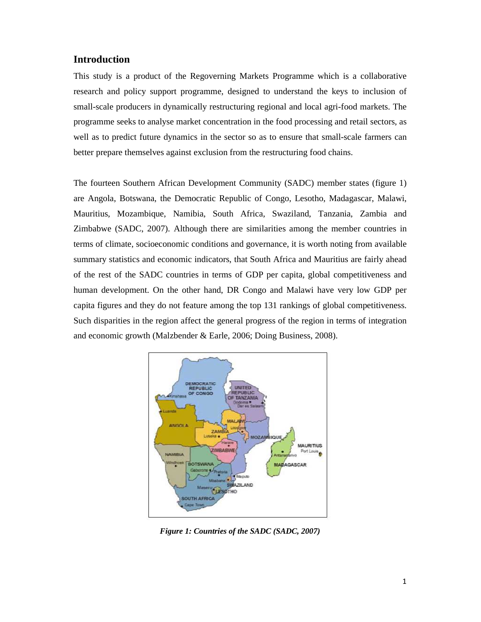# **Introduction**

This study is a product of the Regoverning Markets Programme which is a collaborative research and policy support programme, designed to understand the keys to inclusion of small-scale producers in dynamically restructuring regional and local agri-food markets. The programme seeks to analyse market concentration in the food processing and retail sectors, as well as to predict future dynamics in the sector so as to ensure that small-scale farmers can better prepare themselves against exclusion from the restructuring food chains.

The fourteen Southern African Development Community (SADC) member states (figure 1) are Angola, Botswana, the Democratic Republic of Congo, Lesotho, Madagascar, Malawi, Mauritius, Mozambique, Namibia, South Africa, Swaziland, Tanzania, Zambia and Zimbabwe (SADC, 2007). Although there are similarities among the member countries in terms of climate, socioeconomic conditions and governance, it is worth noting from available summary statistics and economic indicators, that South Africa and Mauritius are fairly ahead of the rest of the SADC countries in terms of GDP per capita, global competitiveness and human development. On the other hand, DR Congo and Malawi have very low GDP per capita figures and they do not feature among the top 131 rankings of global competitiveness. Such disparities in the region affect the general progress of the region in terms of integration and economic growth (Malzbender & Earle, 2006; Doing Business, 2008).



*Figure 1: Countries of the SADC (SADC, 2007)*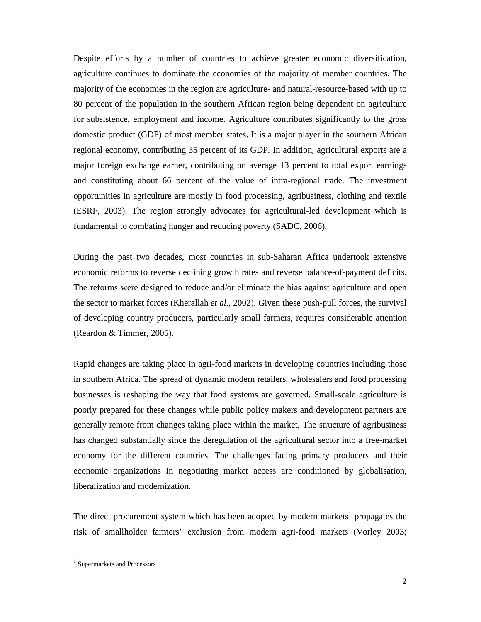Despite efforts by a number of countries to achieve greater economic diversification, agriculture continues to dominate the economies of the majority of member countries. The majority of the economies in the region are agriculture- and natural-resource-based with up to 80 percent of the population in the southern African region being dependent on agriculture for subsistence, employment and income. Agriculture contributes significantly to the gross domestic product (GDP) of most member states. It is a major player in the southern African regional economy, contributing 35 percent of its GDP. In addition, agricultural exports are a major foreign exchange earner, contributing on average 13 percent to total export earnings and constituting about 66 percent of the value of intra-regional trade. The investment opportunities in agriculture are mostly in food processing, agribusiness, clothing and textile (ESRF, 2003). The region strongly advocates for agricultural-led development which is fundamental to combating hunger and reducing poverty (SADC, 2006).

During the past two decades, most countries in sub-Saharan Africa undertook extensive economic reforms to reverse declining growth rates and reverse balance-of-payment deficits. The reforms were designed to reduce and/or eliminate the bias against agriculture and open the sector to market forces (Kherallah *et al.,* 2002). Given these push-pull forces, the survival of developing country producers, particularly small farmers, requires considerable attention (Reardon & Timmer, 2005).

Rapid changes are taking place in agri-food markets in developing countries including those in southern Africa. The spread of dynamic modern retailers, wholesalers and food processing businesses is reshaping the way that food systems are governed. Small-scale agriculture is poorly prepared for these changes while public policy makers and development partners are generally remote from changes taking place within the market. The structure of agribusiness has changed substantially since the deregulation of the agricultural sector into a free-market economy for the different countries. The challenges facing primary producers and their economic organizations in negotiating market access are conditioned by globalisation, liberalization and modernization.

The direct procurement system which has been adopted by modern markets<sup>1</sup> propagates the risk of smallholder farmers' exclusion from modern agri-food markets (Vorley 2003;

<u>.</u>

<sup>&</sup>lt;sup>1</sup> Supermarkets and Processors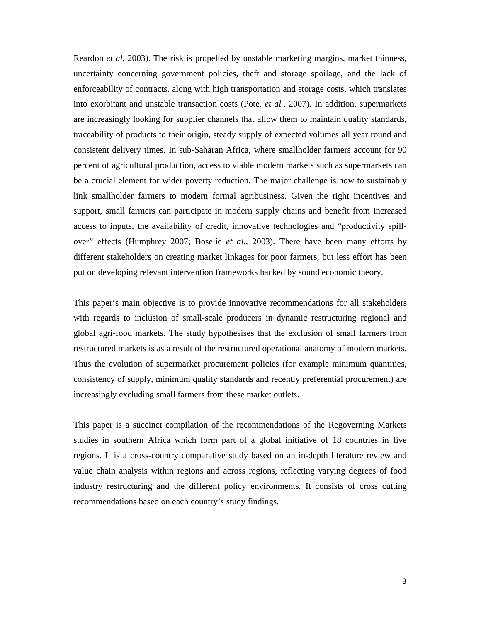Reardon *et al,* 2003). The risk is propelled by unstable marketing margins, market thinness, uncertainty concerning government policies, theft and storage spoilage, and the lack of enforceability of contracts, along with high transportation and storage costs, which translates into exorbitant and unstable transaction costs (Pote, *et al.,* 2007). In addition, supermarkets are increasingly looking for supplier channels that allow them to maintain quality standards, traceability of products to their origin, steady supply of expected volumes all year round and consistent delivery times. In sub-Saharan Africa, where smallholder farmers account for 90 percent of agricultural production, access to viable modern markets such as supermarkets can be a crucial element for wider poverty reduction. The major challenge is how to sustainably link smallholder farmers to modern formal agribusiness. Given the right incentives and support, small farmers can participate in modern supply chains and benefit from increased access to inputs, the availability of credit, innovative technologies and "productivity spillover" effects (Humphrey 2007; Boselie *et al*., 2003). There have been many efforts by different stakeholders on creating market linkages for poor farmers, but less effort has been put on developing relevant intervention frameworks backed by sound economic theory.

This paper's main objective is to provide innovative recommendations for all stakeholders with regards to inclusion of small-scale producers in dynamic restructuring regional and global agri-food markets. The study hypothesises that the exclusion of small farmers from restructured markets is as a result of the restructured operational anatomy of modern markets. Thus the evolution of supermarket procurement policies (for example minimum quantities, consistency of supply, minimum quality standards and recently preferential procurement) are increasingly excluding small farmers from these market outlets.

This paper is a succinct compilation of the recommendations of the Regoverning Markets studies in southern Africa which form part of a global initiative of 18 countries in five regions. It is a cross-country comparative study based on an in-depth literature review and value chain analysis within regions and across regions, reflecting varying degrees of food industry restructuring and the different policy environments. It consists of cross cutting recommendations based on each country's study findings.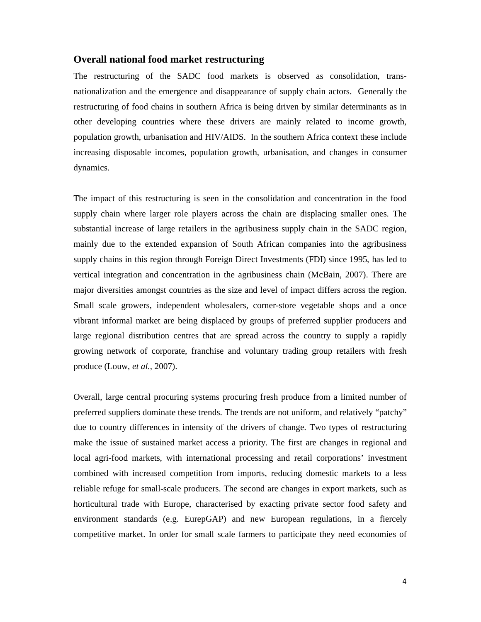### **Overall national food market restructuring**

The restructuring of the SADC food markets is observed as consolidation, transnationalization and the emergence and disappearance of supply chain actors. Generally the restructuring of food chains in southern Africa is being driven by similar determinants as in other developing countries where these drivers are mainly related to income growth, population growth, urbanisation and HIV/AIDS. In the southern Africa context these include increasing disposable incomes, population growth, urbanisation, and changes in consumer dynamics.

The impact of this restructuring is seen in the consolidation and concentration in the food supply chain where larger role players across the chain are displacing smaller ones. The substantial increase of large retailers in the agribusiness supply chain in the SADC region, mainly due to the extended expansion of South African companies into the agribusiness supply chains in this region through Foreign Direct Investments (FDI) since 1995, has led to vertical integration and concentration in the agribusiness chain (McBain, 2007). There are major diversities amongst countries as the size and level of impact differs across the region. Small scale growers, independent wholesalers, corner-store vegetable shops and a once vibrant informal market are being displaced by groups of preferred supplier producers and large regional distribution centres that are spread across the country to supply a rapidly growing network of corporate, franchise and voluntary trading group retailers with fresh produce (Louw, *et al.,* 2007).

Overall, large central procuring systems procuring fresh produce from a limited number of preferred suppliers dominate these trends. The trends are not uniform, and relatively "patchy" due to country differences in intensity of the drivers of change. Two types of restructuring make the issue of sustained market access a priority. The first are changes in regional and local agri-food markets, with international processing and retail corporations' investment combined with increased competition from imports, reducing domestic markets to a less reliable refuge for small-scale producers. The second are changes in export markets, such as horticultural trade with Europe, characterised by exacting private sector food safety and environment standards (e.g. EurepGAP) and new European regulations, in a fiercely competitive market. In order for small scale farmers to participate they need economies of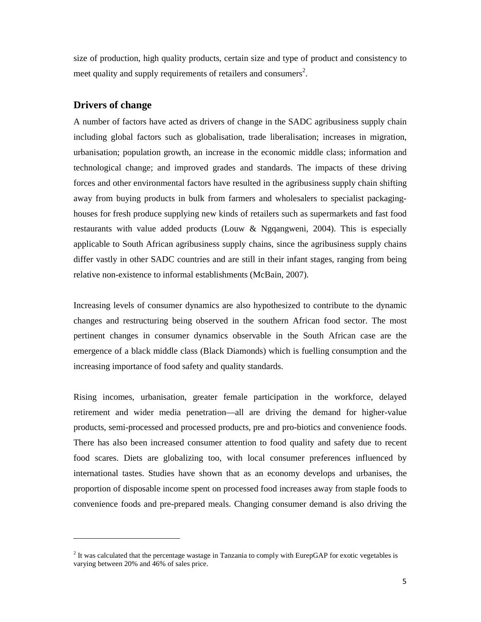size of production, high quality products, certain size and type of product and consistency to meet quality and supply requirements of retailers and consumers<sup>2</sup>.

## **Drivers of change**

<u>.</u>

A number of factors have acted as drivers of change in the SADC agribusiness supply chain including global factors such as globalisation, trade liberalisation; increases in migration, urbanisation; population growth, an increase in the economic middle class; information and technological change; and improved grades and standards. The impacts of these driving forces and other environmental factors have resulted in the agribusiness supply chain shifting away from buying products in bulk from farmers and wholesalers to specialist packaginghouses for fresh produce supplying new kinds of retailers such as supermarkets and fast food restaurants with value added products (Louw & Ngqangweni*,* 2004). This is especially applicable to South African agribusiness supply chains, since the agribusiness supply chains differ vastly in other SADC countries and are still in their infant stages, ranging from being relative non-existence to informal establishments (McBain, 2007).

Increasing levels of consumer dynamics are also hypothesized to contribute to the dynamic changes and restructuring being observed in the southern African food sector. The most pertinent changes in consumer dynamics observable in the South African case are the emergence of a black middle class (Black Diamonds) which is fuelling consumption and the increasing importance of food safety and quality standards.

Rising incomes, urbanisation, greater female participation in the workforce, delayed retirement and wider media penetration—all are driving the demand for higher-value products, semi-processed and processed products, pre and pro-biotics and convenience foods. There has also been increased consumer attention to food quality and safety due to recent food scares. Diets are globalizing too, with local consumer preferences influenced by international tastes. Studies have shown that as an economy develops and urbanises, the proportion of disposable income spent on processed food increases away from staple foods to convenience foods and pre-prepared meals. Changing consumer demand is also driving the

 $2$  It was calculated that the percentage wastage in Tanzania to comply with EurepGAP for exotic vegetables is varying between 20% and 46% of sales price.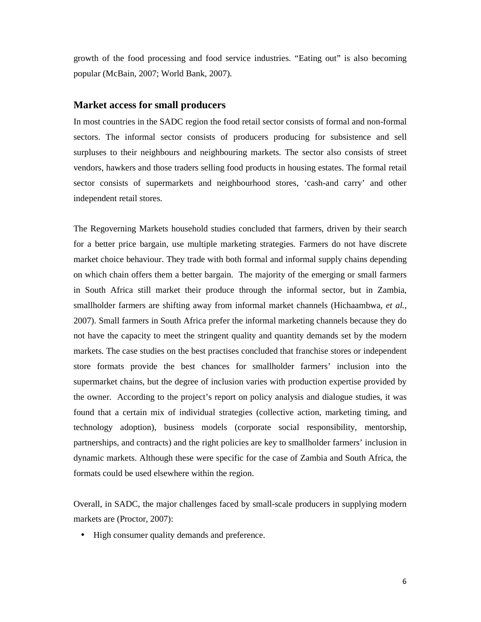growth of the food processing and food service industries. "Eating out" is also becoming popular (McBain, 2007; World Bank, 2007).

#### **Market access for small producers**

In most countries in the SADC region the food retail sector consists of formal and non-formal sectors. The informal sector consists of producers producing for subsistence and sell surpluses to their neighbours and neighbouring markets. The sector also consists of street vendors, hawkers and those traders selling food products in housing estates. The formal retail sector consists of supermarkets and neighbourhood stores, 'cash-and carry' and other independent retail stores.

The Regoverning Markets household studies concluded that farmers, driven by their search for a better price bargain, use multiple marketing strategies. Farmers do not have discrete market choice behaviour. They trade with both formal and informal supply chains depending on which chain offers them a better bargain. The majority of the emerging or small farmers in South Africa still market their produce through the informal sector, but in Zambia, smallholder farmers are shifting away from informal market channels (Hichaambwa, *et al.,* 2007). Small farmers in South Africa prefer the informal marketing channels because they do not have the capacity to meet the stringent quality and quantity demands set by the modern markets. The case studies on the best practises concluded that franchise stores or independent store formats provide the best chances for smallholder farmers' inclusion into the supermarket chains, but the degree of inclusion varies with production expertise provided by the owner. According to the project's report on policy analysis and dialogue studies, it was found that a certain mix of individual strategies (collective action, marketing timing, and technology adoption), business models (corporate social responsibility, mentorship, partnerships, and contracts) and the right policies are key to smallholder farmers' inclusion in dynamic markets. Although these were specific for the case of Zambia and South Africa, the formats could be used elsewhere within the region.

Overall, in SADC, the major challenges faced by small-scale producers in supplying modern markets are (Proctor, 2007):

• High consumer quality demands and preference.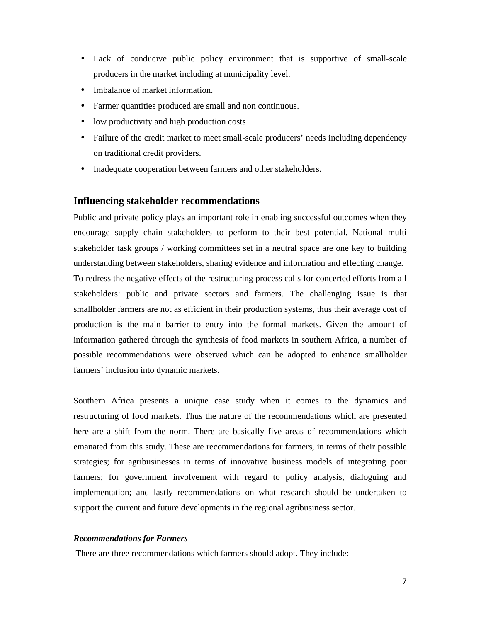- Lack of conducive public policy environment that is supportive of small-scale producers in the market including at municipality level.
- Imbalance of market information.
- Farmer quantities produced are small and non continuous.
- low productivity and high production costs
- Failure of the credit market to meet small-scale producers' needs including dependency on traditional credit providers.
- Inadequate cooperation between farmers and other stakeholders.

### **Influencing stakeholder recommendations**

Public and private policy plays an important role in enabling successful outcomes when they encourage supply chain stakeholders to perform to their best potential. National multi stakeholder task groups / working committees set in a neutral space are one key to building understanding between stakeholders, sharing evidence and information and effecting change. To redress the negative effects of the restructuring process calls for concerted efforts from all stakeholders: public and private sectors and farmers. The challenging issue is that smallholder farmers are not as efficient in their production systems, thus their average cost of production is the main barrier to entry into the formal markets. Given the amount of information gathered through the synthesis of food markets in southern Africa, a number of possible recommendations were observed which can be adopted to enhance smallholder farmers' inclusion into dynamic markets.

Southern Africa presents a unique case study when it comes to the dynamics and restructuring of food markets. Thus the nature of the recommendations which are presented here are a shift from the norm. There are basically five areas of recommendations which emanated from this study. These are recommendations for farmers, in terms of their possible strategies; for agribusinesses in terms of innovative business models of integrating poor farmers; for government involvement with regard to policy analysis, dialoguing and implementation; and lastly recommendations on what research should be undertaken to support the current and future developments in the regional agribusiness sector.

## *Recommendations for Farmers*

There are three recommendations which farmers should adopt. They include: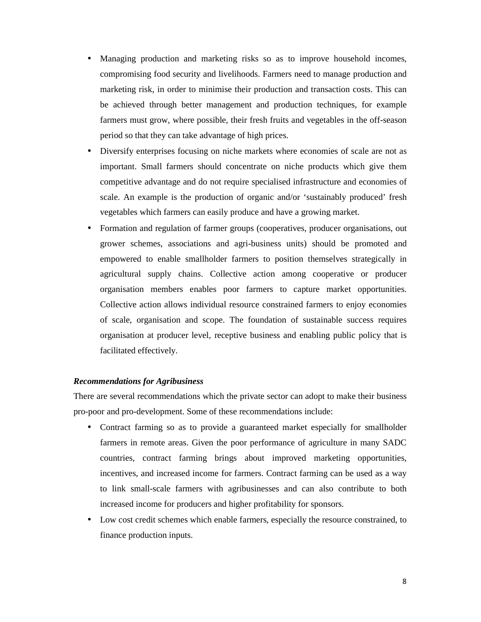- Managing production and marketing risks so as to improve household incomes, compromising food security and livelihoods. Farmers need to manage production and marketing risk, in order to minimise their production and transaction costs. This can be achieved through better management and production techniques, for example farmers must grow, where possible, their fresh fruits and vegetables in the off-season period so that they can take advantage of high prices.
- Diversify enterprises focusing on niche markets where economies of scale are not as important. Small farmers should concentrate on niche products which give them competitive advantage and do not require specialised infrastructure and economies of scale. An example is the production of organic and/or 'sustainably produced' fresh vegetables which farmers can easily produce and have a growing market.
- Formation and regulation of farmer groups (cooperatives, producer organisations, out grower schemes, associations and agri-business units) should be promoted and empowered to enable smallholder farmers to position themselves strategically in agricultural supply chains. Collective action among cooperative or producer organisation members enables poor farmers to capture market opportunities. Collective action allows individual resource constrained farmers to enjoy economies of scale, organisation and scope. The foundation of sustainable success requires organisation at producer level, receptive business and enabling public policy that is facilitated effectively.

#### *Recommendations for Agribusiness*

There are several recommendations which the private sector can adopt to make their business pro-poor and pro-development. Some of these recommendations include:

- Contract farming so as to provide a guaranteed market especially for smallholder farmers in remote areas. Given the poor performance of agriculture in many SADC countries, contract farming brings about improved marketing opportunities, incentives, and increased income for farmers. Contract farming can be used as a way to link small-scale farmers with agribusinesses and can also contribute to both increased income for producers and higher profitability for sponsors.
- Low cost credit schemes which enable farmers, especially the resource constrained, to finance production inputs.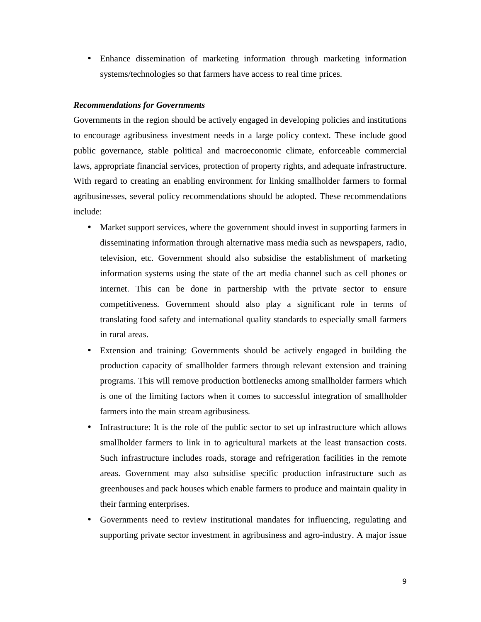• Enhance dissemination of marketing information through marketing information systems/technologies so that farmers have access to real time prices.

#### *Recommendations for Governments*

Governments in the region should be actively engaged in developing policies and institutions to encourage agribusiness investment needs in a large policy context. These include good public governance, stable political and macroeconomic climate, enforceable commercial laws, appropriate financial services, protection of property rights, and adequate infrastructure. With regard to creating an enabling environment for linking smallholder farmers to formal agribusinesses, several policy recommendations should be adopted. These recommendations include:

- Market support services, where the government should invest in supporting farmers in disseminating information through alternative mass media such as newspapers, radio, television, etc. Government should also subsidise the establishment of marketing information systems using the state of the art media channel such as cell phones or internet. This can be done in partnership with the private sector to ensure competitiveness. Government should also play a significant role in terms of translating food safety and international quality standards to especially small farmers in rural areas.
- Extension and training: Governments should be actively engaged in building the production capacity of smallholder farmers through relevant extension and training programs. This will remove production bottlenecks among smallholder farmers which is one of the limiting factors when it comes to successful integration of smallholder farmers into the main stream agribusiness.
- Infrastructure: It is the role of the public sector to set up infrastructure which allows smallholder farmers to link in to agricultural markets at the least transaction costs. Such infrastructure includes roads, storage and refrigeration facilities in the remote areas. Government may also subsidise specific production infrastructure such as greenhouses and pack houses which enable farmers to produce and maintain quality in their farming enterprises.
- Governments need to review institutional mandates for influencing, regulating and supporting private sector investment in agribusiness and agro-industry. A major issue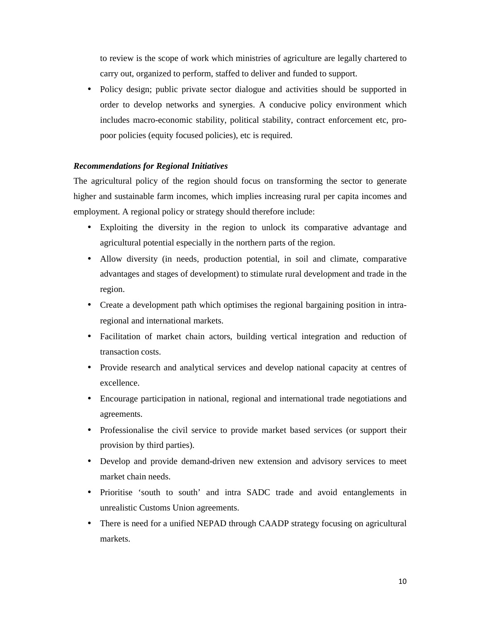to review is the scope of work which ministries of agriculture are legally chartered to carry out, organized to perform, staffed to deliver and funded to support.

• Policy design; public private sector dialogue and activities should be supported in order to develop networks and synergies. A conducive policy environment which includes macro-economic stability, political stability, contract enforcement etc, propoor policies (equity focused policies), etc is required.

#### *Recommendations for Regional Initiatives*

The agricultural policy of the region should focus on transforming the sector to generate higher and sustainable farm incomes, which implies increasing rural per capita incomes and employment. A regional policy or strategy should therefore include:

- Exploiting the diversity in the region to unlock its comparative advantage and agricultural potential especially in the northern parts of the region.
- Allow diversity (in needs, production potential, in soil and climate, comparative advantages and stages of development) to stimulate rural development and trade in the region.
- Create a development path which optimises the regional bargaining position in intraregional and international markets.
- Facilitation of market chain actors, building vertical integration and reduction of transaction costs.
- Provide research and analytical services and develop national capacity at centres of excellence.
- Encourage participation in national, regional and international trade negotiations and agreements.
- Professionalise the civil service to provide market based services (or support their provision by third parties).
- Develop and provide demand-driven new extension and advisory services to meet market chain needs.
- Prioritise 'south to south' and intra SADC trade and avoid entanglements in unrealistic Customs Union agreements.
- There is need for a unified NEPAD through CAADP strategy focusing on agricultural markets.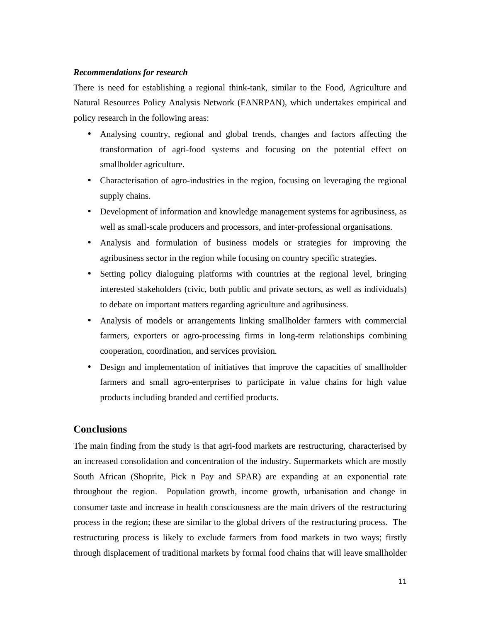#### *Recommendations for research*

There is need for establishing a regional think-tank, similar to the Food, Agriculture and Natural Resources Policy Analysis Network (FANRPAN), which undertakes empirical and policy research in the following areas:

- Analysing country, regional and global trends, changes and factors affecting the transformation of agri-food systems and focusing on the potential effect on smallholder agriculture.
- Characterisation of agro-industries in the region, focusing on leveraging the regional supply chains.
- Development of information and knowledge management systems for agribusiness, as well as small-scale producers and processors, and inter-professional organisations.
- Analysis and formulation of business models or strategies for improving the agribusiness sector in the region while focusing on country specific strategies.
- Setting policy dialoguing platforms with countries at the regional level, bringing interested stakeholders (civic, both public and private sectors, as well as individuals) to debate on important matters regarding agriculture and agribusiness.
- Analysis of models or arrangements linking smallholder farmers with commercial farmers, exporters or agro-processing firms in long-term relationships combining cooperation, coordination, and services provision.
- Design and implementation of initiatives that improve the capacities of smallholder farmers and small agro-enterprises to participate in value chains for high value products including branded and certified products.

## **Conclusions**

The main finding from the study is that agri-food markets are restructuring, characterised by an increased consolidation and concentration of the industry. Supermarkets which are mostly South African (Shoprite, Pick n Pay and SPAR) are expanding at an exponential rate throughout the region. Population growth, income growth, urbanisation and change in consumer taste and increase in health consciousness are the main drivers of the restructuring process in the region; these are similar to the global drivers of the restructuring process. The restructuring process is likely to exclude farmers from food markets in two ways; firstly through displacement of traditional markets by formal food chains that will leave smallholder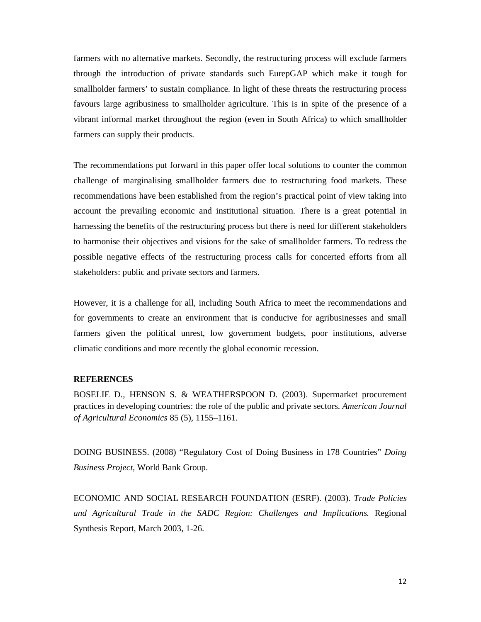farmers with no alternative markets. Secondly, the restructuring process will exclude farmers through the introduction of private standards such EurepGAP which make it tough for smallholder farmers' to sustain compliance. In light of these threats the restructuring process favours large agribusiness to smallholder agriculture. This is in spite of the presence of a vibrant informal market throughout the region (even in South Africa) to which smallholder farmers can supply their products.

The recommendations put forward in this paper offer local solutions to counter the common challenge of marginalising smallholder farmers due to restructuring food markets. These recommendations have been established from the region's practical point of view taking into account the prevailing economic and institutional situation. There is a great potential in harnessing the benefits of the restructuring process but there is need for different stakeholders to harmonise their objectives and visions for the sake of smallholder farmers. To redress the possible negative effects of the restructuring process calls for concerted efforts from all stakeholders: public and private sectors and farmers.

However, it is a challenge for all, including South Africa to meet the recommendations and for governments to create an environment that is conducive for agribusinesses and small farmers given the political unrest, low government budgets, poor institutions, adverse climatic conditions and more recently the global economic recession.

#### **REFERENCES**

BOSELIE D., HENSON S. & WEATHERSPOON D. (2003). Supermarket procurement practices in developing countries: the role of the public and private sectors. *American Journal of Agricultural Economics* 85 (5), 1155–1161.

DOING BUSINESS. (2008) "Regulatory Cost of Doing Business in 178 Countries" *Doing Business Project*, World Bank Group.

ECONOMIC AND SOCIAL RESEARCH FOUNDATION (ESRF). (2003). *Trade Policies and Agricultural Trade in the SADC Region: Challenges and Implications.* Regional Synthesis Report, March 2003, 1-26.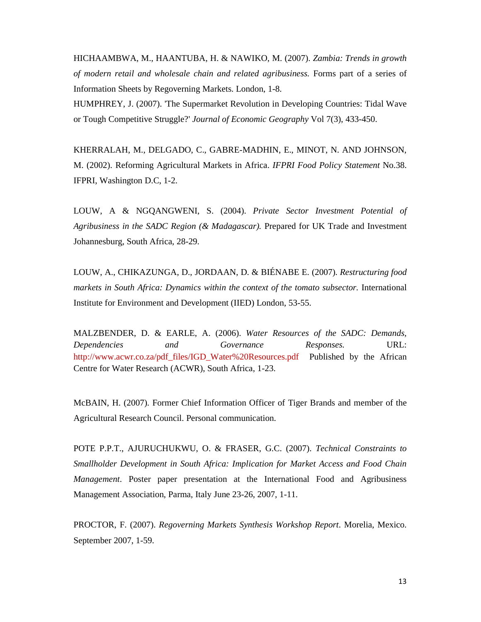HICHAAMBWA, M., HAANTUBA, H. & NAWIKO, M. (2007). *Zambia: Trends in growth of modern retail and wholesale chain and related agribusiness.* Forms part of a series of Information Sheets by Regoverning Markets. London, 1-8.

HUMPHREY, J. (2007). 'The Supermarket Revolution in Developing Countries: Tidal Wave or Tough Competitive Struggle?' *Journal of Economic Geography* Vol 7(3), 433-450.

KHERRALAH, M., DELGADO, C., GABRE-MADHIN, E., MINOT, N. AND JOHNSON, M. (2002). Reforming Agricultural Markets in Africa. *IFPRI Food Policy Statement* No.38. IFPRI, Washington D.C, 1-2.

LOUW, A & NGQANGWENI, S. (2004). *Private Sector Investment Potential of Agribusiness in the SADC Region (& Madagascar).* Prepared for UK Trade and Investment Johannesburg, South Africa, 28-29.

LOUW, A., CHIKAZUNGA, D., JORDAAN, D. & BIÉNABE E. (2007). *Restructuring food markets in South Africa: Dynamics within the context of the tomato subsector.* International Institute for Environment and Development (IIED) London, 53-55.

MALZBENDER, D. & EARLE, A. (2006). *Water Resources of the SADC: Demands, Dependencies and Governance Responses.* URL: http://www.acwr.co.za/pdf\_files/IGD\_Water%20Resources.pdf Published by the African Centre for Water Research (ACWR), South Africa, 1-23.

McBAIN, H. (2007). Former Chief Information Officer of Tiger Brands and member of the Agricultural Research Council. Personal communication.

POTE P.P.T., AJURUCHUKWU, O. & FRASER, G.C. (2007). *Technical Constraints to Smallholder Development in South Africa: Implication for Market Access and Food Chain Management*. Poster paper presentation at the International Food and Agribusiness Management Association, Parma, Italy June 23-26, 2007, 1-11.

PROCTOR, F. (2007). *Regoverning Markets Synthesis Workshop Report*. Morelia, Mexico. September 2007, 1-59.